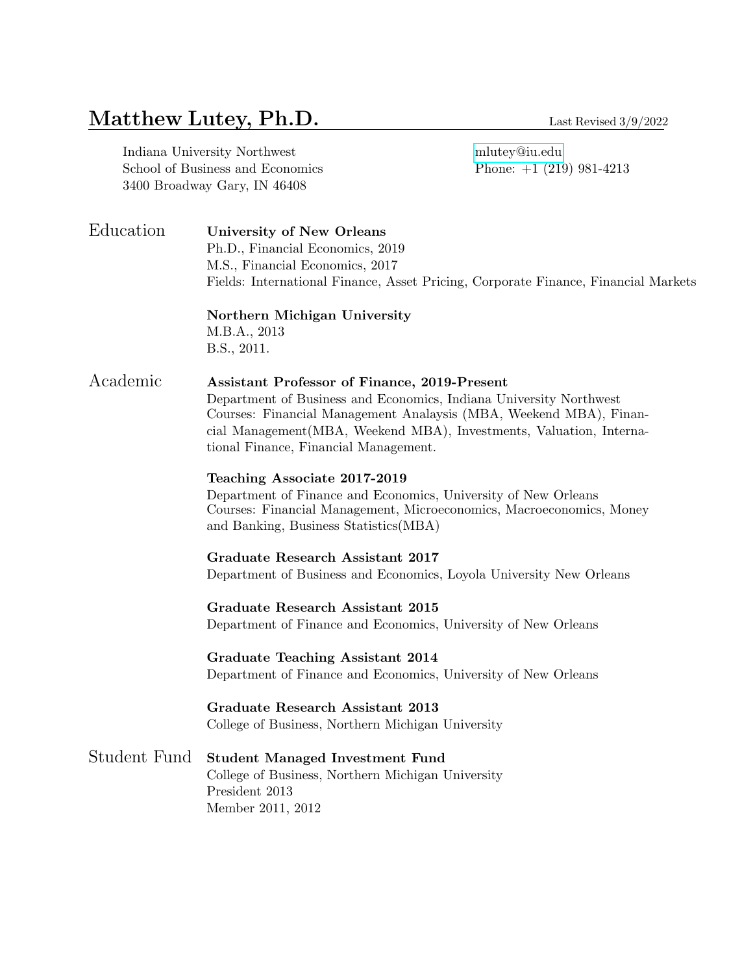# Matthew Lutey, Ph.D. Last Revised 3/9/2022

| Indiana University Northwest     |
|----------------------------------|
| School of Business and Economics |
| 3400 Broadway Gary, IN 46408     |

mlutey@iu.edu Phone:  $+1$  (219) 981-4213

Education University of New Orleans Ph.D., Financial Economics, 2019 M.S., Financial Economics, 2017 Fields: International Finance, Asset Pricing, Corporate Finance, Financial Markets

# Northern Michigan University M.B.A., 2013

B.S., 2011.

# Academic Assistant Professor of Finance, 2019-Present

Department of Business and Economics, Indiana University Northwest Courses: Financial Management Analaysis (MBA, Weekend MBA), Financial Management(MBA, Weekend MBA), Investments, Valuation, International Finance, Financial Management.

#### Teaching Associate 2017-2019

Department of Finance and Economics, University of New Orleans Courses: Financial Management, Microeconomics, Macroeconomics, Money and Banking, Business Statistics(MBA)

#### Graduate Research Assistant 2017

Department of Business and Economics, Loyola University New Orleans

#### Graduate Research Assistant 2015 Department of Finance and Economics, University of New Orleans

Graduate Teaching Assistant 2014 Department of Finance and Economics, University of New Orleans

#### Graduate Research Assistant 2013 College of Business, Northern Michigan University

# Student Fund Student Managed Investment Fund

College of Business, Northern Michigan University President 2013 Member 2011, 2012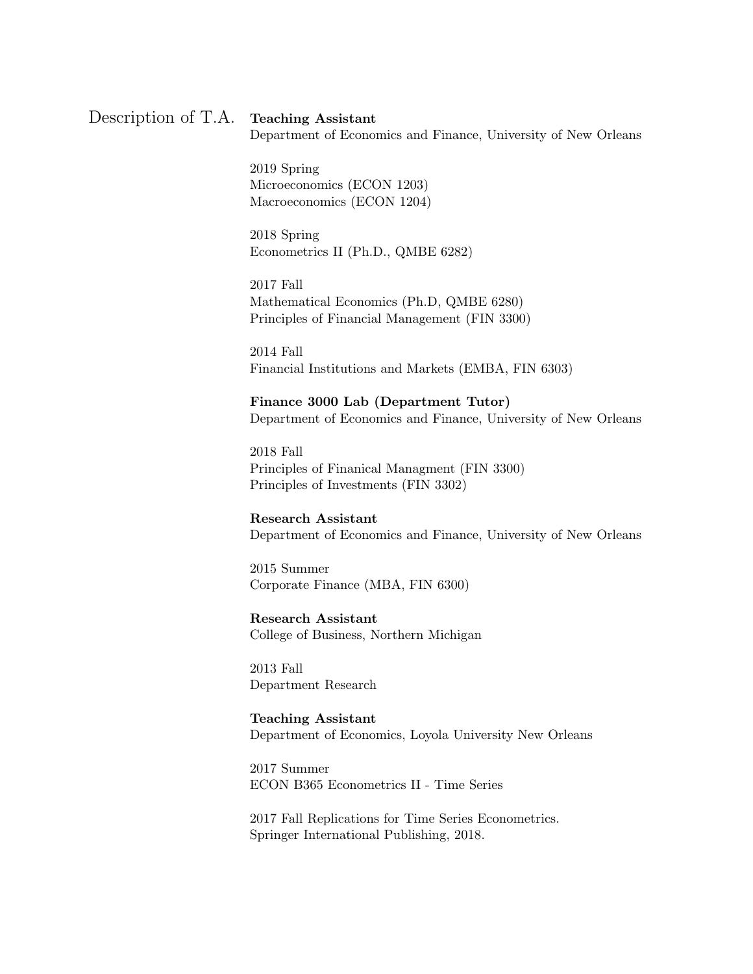# Description of T.A. Teaching Assistant

Department of Economics and Finance, University of New Orleans

2019 Spring Microeconomics (ECON 1203) Macroeconomics (ECON 1204)

2018 Spring Econometrics II (Ph.D., QMBE 6282)

2017 Fall Mathematical Economics (Ph.D, QMBE 6280) Principles of Financial Management (FIN 3300)

2014 Fall Financial Institutions and Markets (EMBA, FIN 6303)

#### Finance 3000 Lab (Department Tutor)

Department of Economics and Finance, University of New Orleans

2018 Fall Principles of Finanical Managment (FIN 3300) Principles of Investments (FIN 3302)

#### Research Assistant

Department of Economics and Finance, University of New Orleans

2015 Summer Corporate Finance (MBA, FIN 6300)

#### Research Assistant

College of Business, Northern Michigan

2013 Fall Department Research

#### Teaching Assistant

Department of Economics, Loyola University New Orleans

2017 Summer ECON B365 Econometrics II - Time Series

2017 Fall Replications for Time Series Econometrics. Springer International Publishing, 2018.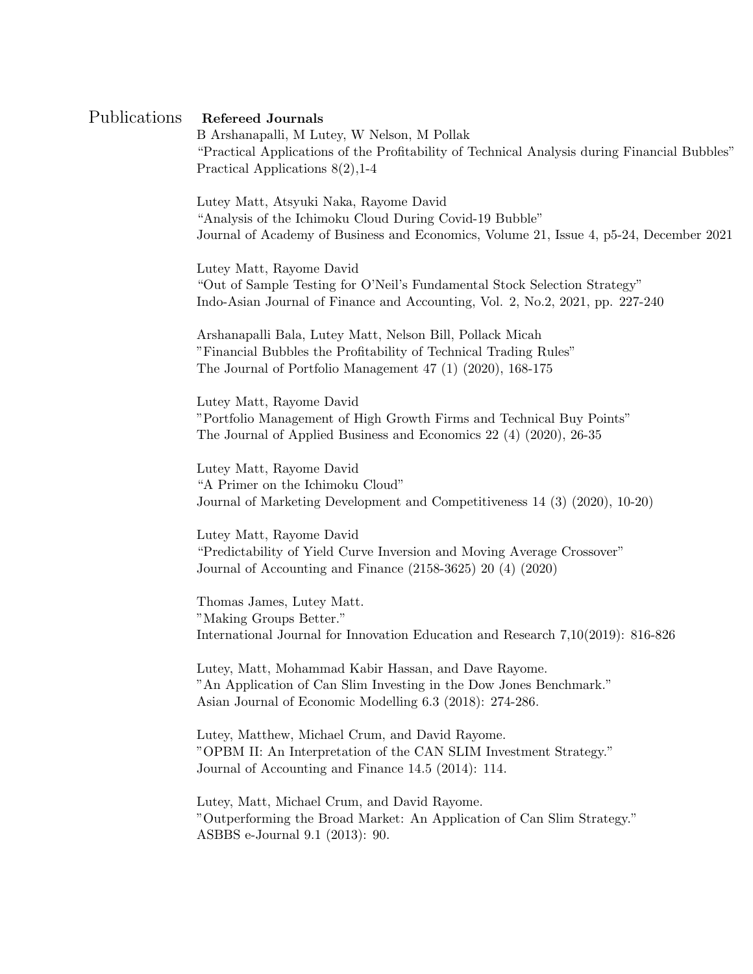### Publications Refereed Journals

B Arshanapalli, M Lutey, W Nelson, M Pollak "Practical Applications of the Profitability of Technical Analysis during Financial Bubbles" Practical Applications 8(2),1-4

Lutey Matt, Atsyuki Naka, Rayome David "Analysis of the Ichimoku Cloud During Covid-19 Bubble" Journal of Academy of Business and Economics, Volume 21, Issue 4, p5-24, December 2021

Lutey Matt, Rayome David "Out of Sample Testing for O'Neil's Fundamental Stock Selection Strategy" Indo-Asian Journal of Finance and Accounting, Vol. 2, No.2, 2021, pp. 227-240

Arshanapalli Bala, Lutey Matt, Nelson Bill, Pollack Micah "Financial Bubbles the Profitability of Technical Trading Rules" The Journal of Portfolio Management 47 (1) (2020), 168-175

Lutey Matt, Rayome David "Portfolio Management of High Growth Firms and Technical Buy Points" The Journal of Applied Business and Economics 22 (4) (2020), 26-35

Lutey Matt, Rayome David "A Primer on the Ichimoku Cloud" Journal of Marketing Development and Competitiveness 14 (3) (2020), 10-20)

Lutey Matt, Rayome David "Predictability of Yield Curve Inversion and Moving Average Crossover" Journal of Accounting and Finance (2158-3625) 20 (4) (2020)

Thomas James, Lutey Matt. "Making Groups Better." International Journal for Innovation Education and Research 7,10(2019): 816-826

Lutey, Matt, Mohammad Kabir Hassan, and Dave Rayome. "An Application of Can Slim Investing in the Dow Jones Benchmark." Asian Journal of Economic Modelling 6.3 (2018): 274-286.

Lutey, Matthew, Michael Crum, and David Rayome. "OPBM II: An Interpretation of the CAN SLIM Investment Strategy." Journal of Accounting and Finance 14.5 (2014): 114.

Lutey, Matt, Michael Crum, and David Rayome. "Outperforming the Broad Market: An Application of Can Slim Strategy." ASBBS e-Journal 9.1 (2013): 90.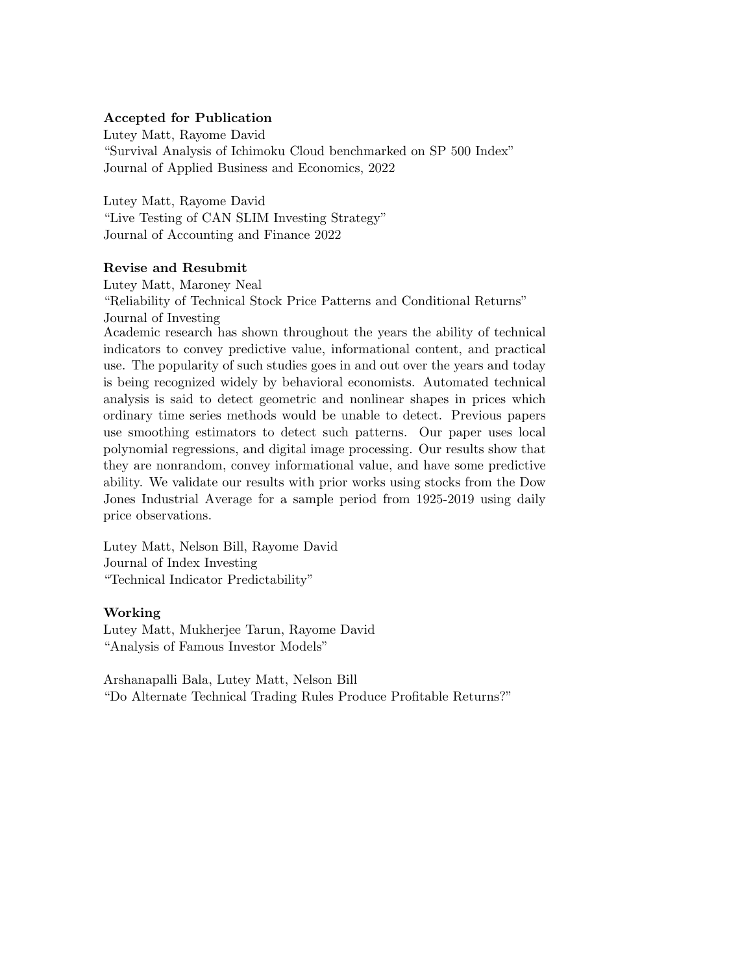#### Accepted for Publication

Lutey Matt, Rayome David "Survival Analysis of Ichimoku Cloud benchmarked on SP 500 Index" Journal of Applied Business and Economics, 2022

Lutey Matt, Rayome David "Live Testing of CAN SLIM Investing Strategy" Journal of Accounting and Finance 2022

#### Revise and Resubmit

Lutey Matt, Maroney Neal "Reliability of Technical Stock Price Patterns and Conditional Returns" Journal of Investing

Academic research has shown throughout the years the ability of technical indicators to convey predictive value, informational content, and practical use. The popularity of such studies goes in and out over the years and today is being recognized widely by behavioral economists. Automated technical analysis is said to detect geometric and nonlinear shapes in prices which ordinary time series methods would be unable to detect. Previous papers use smoothing estimators to detect such patterns. Our paper uses local polynomial regressions, and digital image processing. Our results show that they are nonrandom, convey informational value, and have some predictive ability. We validate our results with prior works using stocks from the Dow Jones Industrial Average for a sample period from 1925-2019 using daily price observations.

Lutey Matt, Nelson Bill, Rayome David Journal of Index Investing "Technical Indicator Predictability"

#### Working

Lutey Matt, Mukherjee Tarun, Rayome David "Analysis of Famous Investor Models"

Arshanapalli Bala, Lutey Matt, Nelson Bill "Do Alternate Technical Trading Rules Produce Profitable Returns?"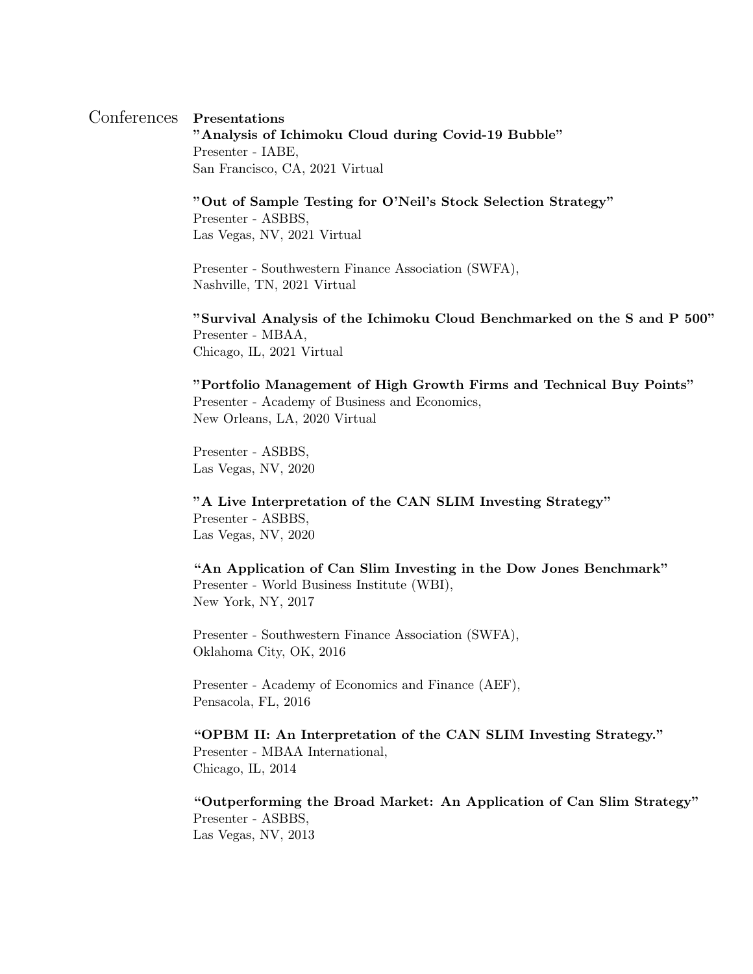# Conferences Presentations

"Analysis of Ichimoku Cloud during Covid-19 Bubble" Presenter - IABE, San Francisco, CA, 2021 Virtual

"Out of Sample Testing for O'Neil's Stock Selection Strategy"

Presenter - ASBBS, Las Vegas, NV, 2021 Virtual

Presenter - Southwestern Finance Association (SWFA), Nashville, TN, 2021 Virtual

"Survival Analysis of the Ichimoku Cloud Benchmarked on the S and P 500" Presenter - MBAA, Chicago, IL, 2021 Virtual

"Portfolio Management of High Growth Firms and Technical Buy Points" Presenter - Academy of Business and Economics, New Orleans, LA, 2020 Virtual

Presenter - ASBBS, Las Vegas, NV, 2020

"A Live Interpretation of the CAN SLIM Investing Strategy" Presenter - ASBBS, Las Vegas, NV, 2020

"An Application of Can Slim Investing in the Dow Jones Benchmark" Presenter - World Business Institute (WBI), New York, NY, 2017

Presenter - Southwestern Finance Association (SWFA), Oklahoma City, OK, 2016

Presenter - Academy of Economics and Finance (AEF), Pensacola, FL, 2016

"OPBM II: An Interpretation of the CAN SLIM Investing Strategy." Presenter - MBAA International, Chicago, IL, 2014

"Outperforming the Broad Market: An Application of Can Slim Strategy" Presenter - ASBBS, Las Vegas, NV, 2013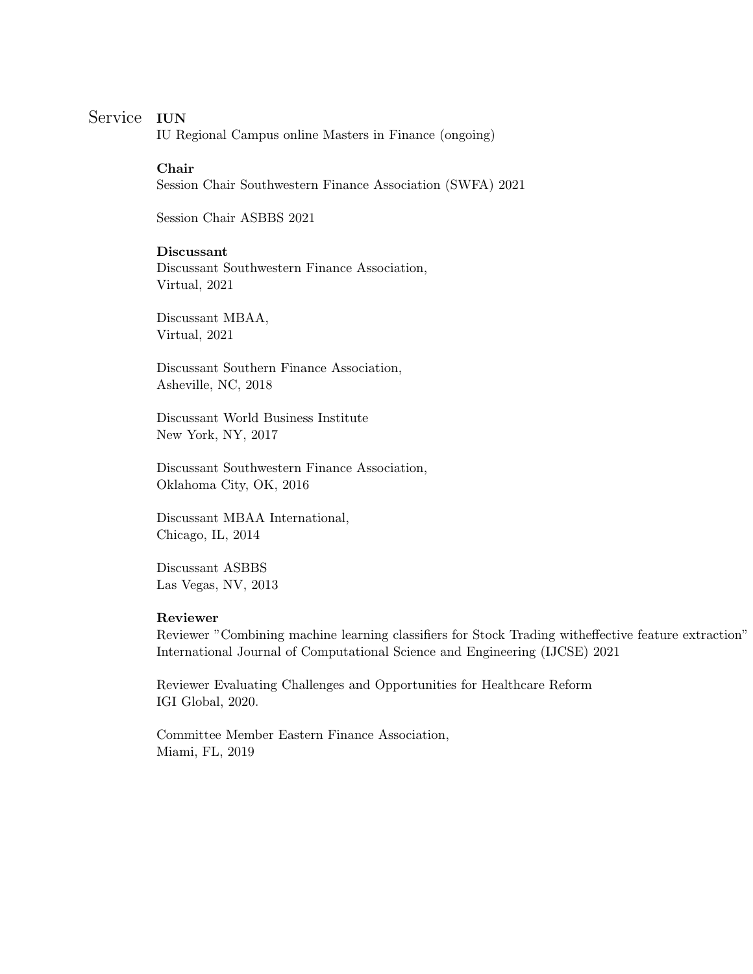# Service IUN

IU Regional Campus online Masters in Finance (ongoing)

#### Chair

Session Chair Southwestern Finance Association (SWFA) 2021

Session Chair ASBBS 2021

#### Discussant

Discussant Southwestern Finance Association, Virtual, 2021

Discussant MBAA, Virtual, 2021

Discussant Southern Finance Association, Asheville, NC, 2018

Discussant World Business Institute New York, NY, 2017

Discussant Southwestern Finance Association, Oklahoma City, OK, 2016

Discussant MBAA International, Chicago, IL, 2014

Discussant ASBBS Las Vegas, NV, 2013

#### Reviewer

Reviewer "Combining machine learning classifiers for Stock Trading witheffective feature extraction" International Journal of Computational Science and Engineering (IJCSE) 2021

Reviewer Evaluating Challenges and Opportunities for Healthcare Reform IGI Global, 2020.

Committee Member Eastern Finance Association, Miami, FL, 2019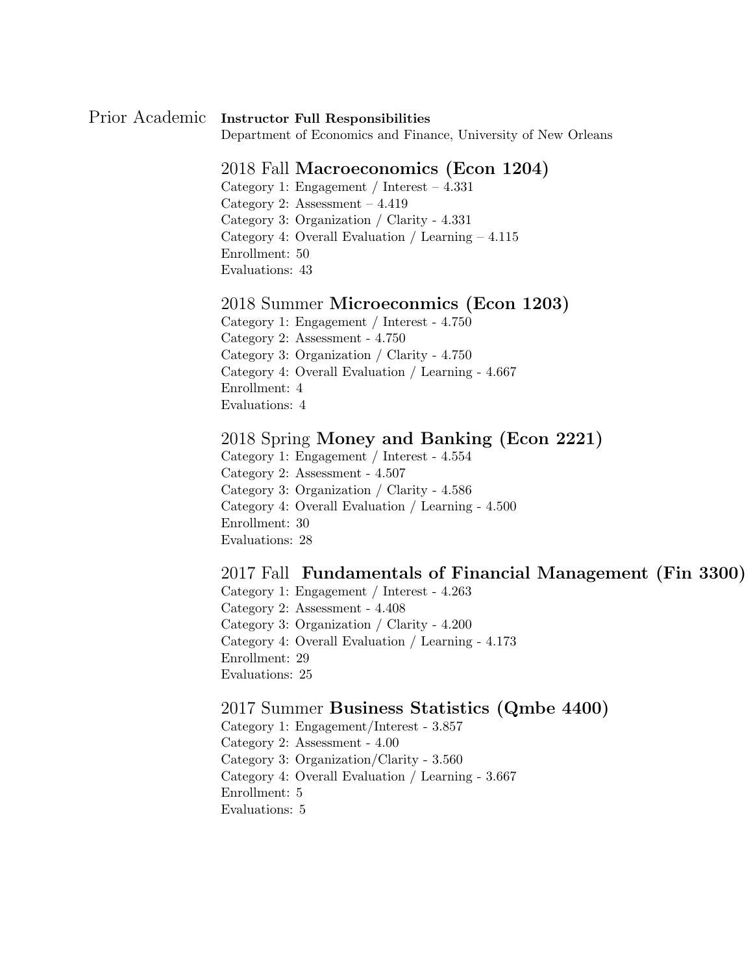# Prior Academic Instructor Full Responsibilities

Department of Economics and Finance, University of New Orleans

## 2018 Fall Macroeconomics (Econ 1204)

Category 1: Engagement / Interest – 4.331

Category 2: Assessment – 4.419

Category 3: Organization / Clarity - 4.331

Category 4: Overall Evaluation / Learning – 4.115

Enrollment: 50

Evaluations: 43

### 2018 Summer Microeconmics (Econ 1203)

Category 1: Engagement / Interest - 4.750

Category 2: Assessment - 4.750

Category 3: Organization / Clarity - 4.750

Category 4: Overall Evaluation / Learning - 4.667

Enrollment: 4

Evaluations: 4

### 2018 Spring Money and Banking (Econ 2221)

Category 1: Engagement / Interest - 4.554

Category 2: Assessment - 4.507

Category 3: Organization / Clarity - 4.586

Category 4: Overall Evaluation / Learning - 4.500

Enrollment: 30

Evaluations: 28

### 2017 Fall Fundamentals of Financial Management (Fin 3300)

Category 1: Engagement / Interest - 4.263

Category 2: Assessment - 4.408

Category 3: Organization / Clarity - 4.200

Category 4: Overall Evaluation / Learning - 4.173

Enrollment: 29

Evaluations: 25

### 2017 Summer Business Statistics (Qmbe 4400)

Category 1: Engagement/Interest - 3.857

Category 2: Assessment - 4.00

Category 3: Organization/Clarity - 3.560

Category 4: Overall Evaluation / Learning - 3.667

Enrollment: 5

Evaluations: 5